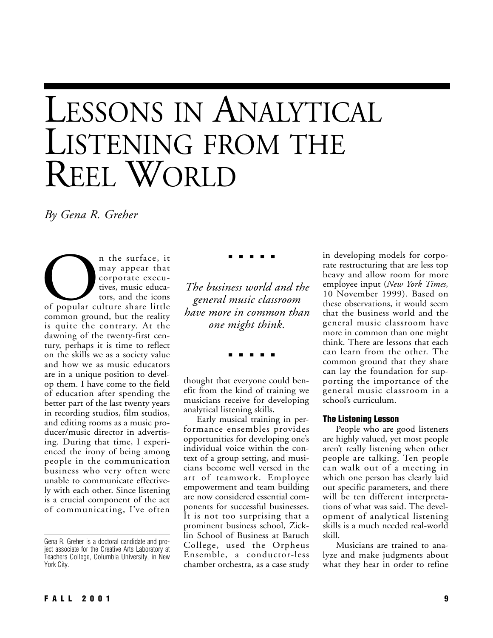# LESSONS IN ANALYTICAL LISTENING FROM THE REEL WORLD

*By Gena R. Greher*

n the surface, it<br>may appear that<br>corporate execu-<br>tives, music educa-<br>tors, and the icons<br>of popular culture share little<br>common ground, but the reality may appear that corporate executives, music educators, and the icons of popular culture share little common ground, but the reality is quite the contrary. At the dawning of the twenty-first century, perhaps it is time to reflect on the skills we as a society value and how we as music educators are in a unique position to develop them. I have come to the field of education after spending the better part of the last twenty years in recording studios, film studios, and editing rooms as a music producer/music director in advertising. During that time, I experienced the irony of being among people in the communication business who very often were unable to communicate effectively with each other. Since listening is a crucial component of the act of communicating, I've often

#### . . . . .

*The business world and the general music classroom have more in common than one might think.*

. . . . .

thought that everyone could benefit from the kind of training we musicians receive for developing analytical listening skills.

Early musical training in performance ensembles provides opportunities for developing one's individual voice within the context of a group setting, and musicians become well versed in the art of teamwork. Employee empowerment and team building are now considered essential components for successful businesses. It is not too surprising that a prominent business school, Zicklin School of Business at Baruch College, used the Orpheus Ensemble, a conductor-less chamber orchestra, as a case study in developing models for corporate restructuring that are less top heavy and allow room for more employee input (*New York Times,* 10 November 1999). Based on these observations, it would seem that the business world and the general music classroom have more in common than one might think. There are lessons that each can learn from the other. The common ground that they share can lay the foundation for supporting the importance of the general music classroom in a school's curriculum.

# **The Listening Lesson**

People who are good listeners are highly valued, yet most people aren't really listening when other people are talking. Ten people can walk out of a meeting in which one person has clearly laid out specific parameters, and there will be ten different interpretations of what was said. The development of analytical listening skills is a much needed real-world skill.

Musicians are trained to analyze and make judgments about what they hear in order to refine

Gena R. Greher is a doctoral candidate and project associate for the Creative Arts Laboratory at Teachers College, Columbia University, in New York City.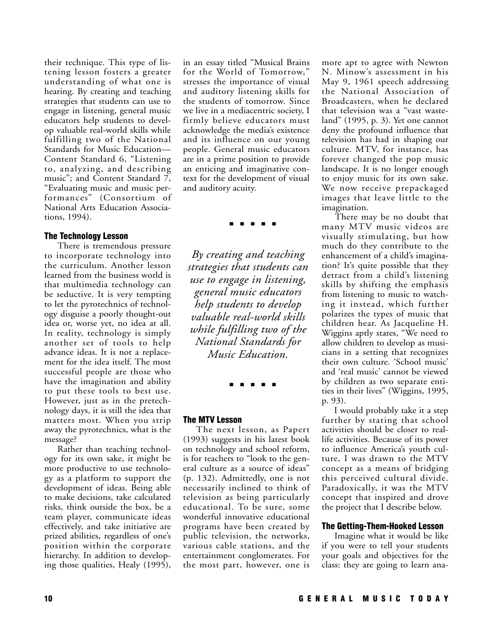their technique. This type of listening lesson fosters a greater understanding of what one is hearing. By creating and teaching strategies that students can use to engage in listening, general music educators help students to develop valuable real-world skills while fulfilling two of the National Standards for Music Education— Content Standard 6, "Listening to, analyzing, and describing music"; and Content Standard 7, "Evaluating music and music performances" (Consortium of National Arts Education Associations, 1994).

# **The Technology Lesson**

There is tremendous pressure to incorporate technology into the curriculum. Another lesson learned from the business world is that multimedia technology can be seductive. It is very tempting to let the pyrotechnics of technology disguise a poorly thought-out idea or, worse yet, no idea at all. In reality, technology is simply another set of tools to help advance ideas. It is not a replacement for the idea itself. The most successful people are those who have the imagination and ability to put these tools to best use. However, just as in the pretechnology days, it is still the idea that matters most. When you strip away the pyrotechnics, what is the message?

Rather than teaching technology for its own sake, it might be more productive to use technology as a platform to support the development of ideas. Being able to make decisions, take calculated risks, think outside the box, be a team player, communicate ideas effectively, and take initiative are prized abilities, regardless of one's position within the corporate hierarchy. In addition to developing those qualities, Healy (1995),

in an essay titled "Musical Brains for the World of Tomorrow," stresses the importance of visual and auditory listening skills for the students of tomorrow. Since we live in a mediacentric society, I firmly believe educators must acknowledge the media's existence and its influence on our young people. General music educators are in a prime position to provide an enticing and imaginative context for the development of visual and auditory acuity.

. . . . .

*By creating and teaching strategies that students can use to engage in listening, general music educators help students to develop valuable real-world skills while fulfilling two of the National Standards for Music Education.*

. . . . .

# **The MTV Lesson**

The next lesson, as Papert (1993) suggests in his latest book on technology and school reform, is for teachers to "look to the general culture as a source of ideas" (p. 132). Admittedly, one is not necessarily inclined to think of television as being particularly educational. To be sure, some wonderful innovative educational programs have been created by public television, the networks, various cable stations, and the entertainment conglomerates. For the most part, however, one is

more apt to agree with Newton N. Minow's assessment in his May 9, 1961 speech addressing the National Association of Broadcasters, when he declared that television was a "vast wasteland" (1995, p. 3). Yet one cannot deny the profound influence that television has had in shaping our culture. MTV, for instance, has forever changed the pop music landscape. It is no longer enough to enjoy music for its own sake. We now receive prepackaged images that leave little to the imagination.

There may be no doubt that many MTV music videos are visually stimulating, but how much do they contribute to the enhancement of a child's imagination? It's quite possible that they detract from a child's listening skills by shifting the emphasis from listening to music to watching it instead, which further polarizes the types of music that children hear. As Jacqueline H. Wiggins aptly states, "We need to allow children to develop as musicians in a setting that recognizes their own culture. 'School music' and 'real music' cannot be viewed by children as two separate entities in their lives" (Wiggins, 1995, p. 93).

I would probably take it a step further by stating that school activities should be closer to reallife activities. Because of its power to influence America's youth culture, I was drawn to the MTV concept as a means of bridging this perceived cultural divide. Paradoxically, it was the MTV concept that inspired and drove the project that I describe below.

# **The Getting-Them-Hooked Lesson**

Imagine what it would be like if you were to tell your students your goals and objectives for the class: they are going to learn ana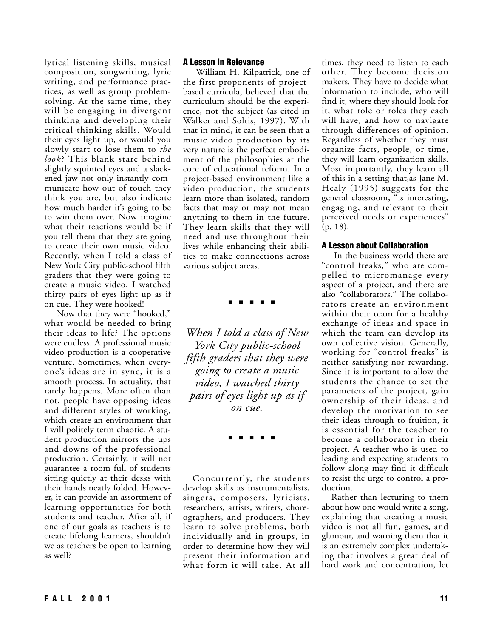lytical listening skills, musical composition, songwriting, lyric writing, and performance practices, as well as group problemsolving. At the same time, they will be engaging in divergent thinking and developing their critical-thinking skills. Would their eyes light up, or would you slowly start to lose them to *the look*? This blank stare behind slightly squinted eyes and a slackened jaw not only instantly communicate how out of touch they think you are, but also indicate how much harder it's going to be to win them over. Now imagine what their reactions would be if you tell them that they are going to create their own music video. Recently, when I told a class of New York City public-school fifth graders that they were going to create a music video, I watched thirty pairs of eyes light up as if on cue. They were hooked!

Now that they were "hooked," what would be needed to bring their ideas to life? The options were endless. A professional music video production is a cooperative venture. Sometimes, when everyone's ideas are in sync, it is a smooth process. In actuality, that rarely happens. More often than not, people have opposing ideas and different styles of working, which create an environment that I will politely term chaotic. A student production mirrors the ups and downs of the professional production. Certainly, it will not guarantee a room full of students sitting quietly at their desks with their hands neatly folded. However, it can provide an assortment of learning opportunities for both students and teacher. After all, if one of our goals as teachers is to create lifelong learners, shouldn't we as teachers be open to learning as well?

# **A Lesson in Relevance**

William H. Kilpatrick, one of the first proponents of projectbased curricula, believed that the curriculum should be the experience, not the subject (as cited in Walker and Soltis, 1997). With that in mind, it can be seen that a music video production by its very nature is the perfect embodiment of the philosophies at the core of educational reform. In a project-based environment like a video production, the students learn more than isolated, random facts that may or may not mean anything to them in the future. They learn skills that they will need and use throughout their lives while enhancing their abilities to make connections across various subject areas.

. . . . .

*When I told a class of New York City public-school fifth graders that they were going to create a music video, I watched thirty pairs of eyes light up as if on cue.*

. . . . .

Concurrently, the students develop skills as instrumentalists, singers, composers, lyricists, researchers, artists, writers, choreographers, and producers. They learn to solve problems, both individually and in groups, in order to determine how they will present their information and what form it will take. At all times, they need to listen to each other. They become decision makers. They have to decide what information to include, who will find it, where they should look for it, what role or roles they each will have, and how to navigate through differences of opinion. Regardless of whether they must organize facts, people, or time, they will learn organization skills. Most importantly, they learn all of this in a setting that,as Jane M. Healy (1995) suggests for the general classroom, "is interesting, engaging, and relevant to their perceived needs or experiences" (p. 18).

# **A Lesson about Collaboration**

In the business world there are "control freaks," who are compelled to micromanage every aspect of a project, and there are also "collaborators." The collaborators create an environment within their team for a healthy exchange of ideas and space in which the team can develop its own collective vision. Generally, working for "control freaks" is neither satisfying nor rewarding. Since it is important to allow the students the chance to set the parameters of the project, gain ownership of their ideas, and develop the motivation to see their ideas through to fruition, it is essential for the teacher to become a collaborator in their project. A teacher who is used to leading and expecting students to follow along may find it difficult to resist the urge to control a production.

Rather than lecturing to them about how one would write a song, explaining that creating a music video is not all fun, games, and glamour, and warning them that it is an extremely complex undertaking that involves a great deal of hard work and concentration, let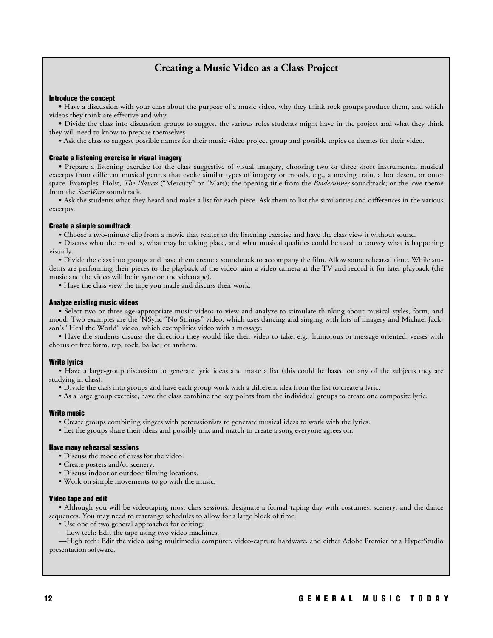# **Creating a Music Video as a Class Project**

#### **Introduce the concept**

• Have a discussion with your class about the purpose of a music video, why they think rock groups produce them, and which videos they think are effective and why.

• Divide the class into discussion groups to suggest the various roles students might have in the project and what they think they will need to know to prepare themselves.

• Ask the class to suggest possible names for their music video project group and possible topics or themes for their video.

#### **Create a listening exercise in visual imagery**

• Prepare a listening exercise for the class suggestive of visual imagery, choosing two or three short instrumental musical excerpts from different musical genres that evoke similar types of imagery or moods, e.g., a moving train, a hot desert, or outer space. Examples: Holst, *The Planets* ("Mercury" or "Mars); the opening title from the *Bladerunner* soundtrack; or the love theme from the *StarWars* soundtrack.

• Ask the students what they heard and make a list for each piece. Ask them to list the similarities and differences in the various excerpts.

#### **Create a simple soundtrack**

• Choose a two-minute clip from a movie that relates to the listening exercise and have the class view it without sound.

• Discuss what the mood is, what may be taking place, and what musical qualities could be used to convey what is happening visually.

• Divide the class into groups and have them create a soundtrack to accompany the film. Allow some rehearsal time. While students are performing their pieces to the playback of the video, aim a video camera at the TV and record it for later playback (the music and the video will be in sync on the videotape).

• Have the class view the tape you made and discuss their work.

#### **Analyze existing music videos**

• Select two or three age-appropriate music videos to view and analyze to stimulate thinking about musical styles, form, and mood. Two examples are the 'NSync "No Strings" video, which uses dancing and singing with lots of imagery and Michael Jackson's "Heal the World" video, which exemplifies video with a message.

• Have the students discuss the direction they would like their video to take, e.g., humorous or message oriented, verses with chorus or free form, rap, rock, ballad, or anthem.

#### **Write lyrics**

• Have a large-group discussion to generate lyric ideas and make a list (this could be based on any of the subjects they are studying in class).

• Divide the class into groups and have each group work with a different idea from the list to create a lyric.

• As a large group exercise, have the class combine the key points from the individual groups to create one composite lyric.

#### **Write music**

• Create groups combining singers with percussionists to generate musical ideas to work with the lyrics.

• Let the groups share their ideas and possibly mix and match to create a song everyone agrees on.

#### **Have many rehearsal sessions**

- Discuss the mode of dress for the video.
- Create posters and/or scenery.
- Discuss indoor or outdoor filming locations.
- Work on simple movements to go with the music.

#### **Video tape and edit**

• Although you will be videotaping most class sessions, designate a formal taping day with costumes, scenery, and the dance sequences. You may need to rearrange schedules to allow for a large block of time.

- Use one of two general approaches for editing:
- —Low tech: Edit the tape using two video machines.

—High tech: Edit the video using multimedia computer, video-capture hardware, and either Adobe Premier or a HyperStudio presentation software.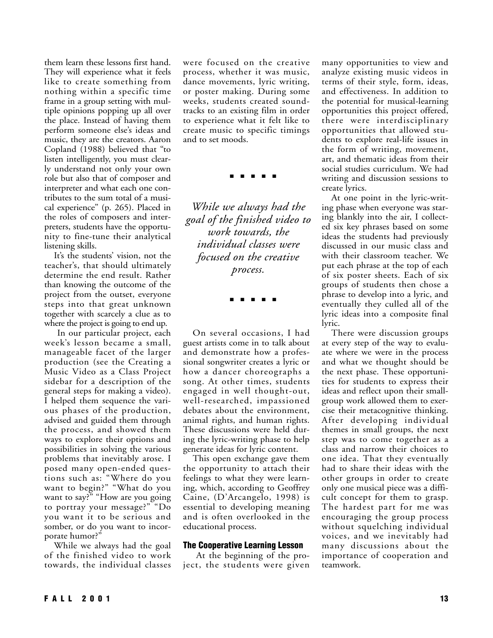them learn these lessons first hand. They will experience what it feels like to create something from nothing within a specific time frame in a group setting with multiple opinions popping up all over the place. Instead of having them perform someone else's ideas and music, they are the creators. Aaron Copland (1988) believed that "to listen intelligently, you must clearly understand not only your own role but also that of composer and interpreter and what each one contributes to the sum total of a musical experience" (p. 265). Placed in the roles of composers and interpreters, students have the opportunity to fine-tune their analytical listening skills.

It's the students' vision, not the teacher's, that should ultimately determine the end result. Rather than knowing the outcome of the project from the outset, everyone steps into that great unknown together with scarcely a clue as to where the project is going to end up.

In our particular project, each week's lesson became a small, manageable facet of the larger production (see the Creating a Music Video as a Class Project sidebar for a description of the general steps for making a video). I helped them sequence the various phases of the production, advised and guided them through the process, and showed them ways to explore their options and possibilities in solving the various problems that inevitably arose. I posed many open-ended questions such as: "Where do you want to begin?" "What do you want to say?" "How are you going to portray your message?" "Do you want it to be serious and somber, or do you want to incorporate humor?"

While we always had the goal of the finished video to work towards, the individual classes were focused on the creative process, whether it was music, dance movements, lyric writing, or poster making. During some weeks, students created soundtracks to an existing film in order to experience what it felt like to create music to specific timings and to set moods.

. . . . .

*While we always had the goal of the finished video to work towards, the individual classes were focused on the creative process.*

. . . . .

On several occasions, I had guest artists come in to talk about and demonstrate how a professional songwriter creates a lyric or how a dancer choreographs a song. At other times, students engaged in well thought-out, well-researched, impassioned debates about the environment, animal rights, and human rights. These discussions were held during the lyric-writing phase to help generate ideas for lyric content.

This open exchange gave them the opportunity to attach their feelings to what they were learning, which, according to Geoffrey Caine, (D'Arcangelo, 1998) is essential to developing meaning and is often overlooked in the educational process.

# **The Cooperative Learning Lesson**

At the beginning of the project, the students were given many opportunities to view and analyze existing music videos in terms of their style, form, ideas, and effectiveness. In addition to the potential for musical-learning opportunities this project offered, there were interdisciplinary opportunities that allowed students to explore real-life issues in the form of writing, movement, art, and thematic ideas from their social studies curriculum. We had writing and discussion sessions to create lyrics.

At one point in the lyric-writing phase when everyone was staring blankly into the air, I collected six key phrases based on some ideas the students had previously discussed in our music class and with their classroom teacher. We put each phrase at the top of each of six poster sheets. Each of six groups of students then chose a phrase to develop into a lyric, and eventually they culled all of the lyric ideas into a composite final lyric.

There were discussion groups at every step of the way to evaluate where we were in the process and what we thought should be the next phase. These opportunities for students to express their ideas and reflect upon their smallgroup work allowed them to exercise their metacognitive thinking. After developing individual themes in small groups, the next step was to come together as a class and narrow their choices to one idea. That they eventually had to share their ideas with the other groups in order to create only one musical piece was a difficult concept for them to grasp. The hardest part for me was encouraging the group process without squelching individual voices, and we inevitably had many discussions about the importance of cooperation and teamwork.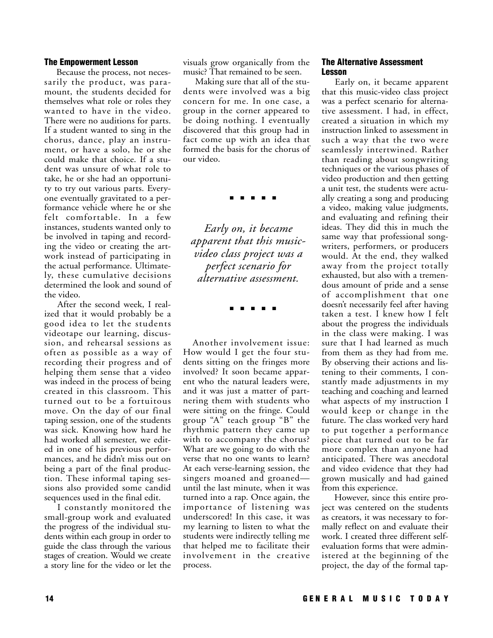# **The Empowerment Lesson**

Because the process, not necessarily the product, was paramount, the students decided for themselves what role or roles they wanted to have in the video. There were no auditions for parts. If a student wanted to sing in the chorus, dance, play an instrument, or have a solo, he or she could make that choice. If a student was unsure of what role to take, he or she had an opportunity to try out various parts. Everyone eventually gravitated to a performance vehicle where he or she felt comfortable. In a few instances, students wanted only to be involved in taping and recording the video or creating the artwork instead of participating in the actual performance. Ultimately, these cumulative decisions determined the look and sound of the video.

After the second week, I realized that it would probably be a good idea to let the students videotape our learning, discussion, and rehearsal sessions as often as possible as a way of recording their progress and of helping them sense that a video was indeed in the process of being created in this classroom. This turned out to be a fortuitous move. On the day of our final taping session, one of the students was sick. Knowing how hard he had worked all semester, we edited in one of his previous performances, and he didn't miss out on being a part of the final production. These informal taping sessions also provided some candid sequences used in the final edit.

I constantly monitored the small-group work and evaluated the progress of the individual students within each group in order to guide the class through the various stages of creation. Would we create a story line for the video or let the

visuals grow organically from the music? That remained to be seen.

Making sure that all of the students were involved was a big concern for me. In one case, a group in the corner appeared to be doing nothing. I eventually discovered that this group had in fact come up with an idea that formed the basis for the chorus of our video.

. . . . .

*Early on, it became apparent that this musicvideo class project was a perfect scenario for alternative assessment.*

. . . . .

Another involvement issue: How would I get the four students sitting on the fringes more involved? It soon became apparent who the natural leaders were, and it was just a matter of partnering them with students who were sitting on the fringe. Could group "A" teach group "B" the rhythmic pattern they came up with to accompany the chorus? What are we going to do with the verse that no one wants to learn? At each verse-learning session, the singers moaned and groaned until the last minute, when it was turned into a rap. Once again, the importance of listening was underscored! In this case, it was my learning to listen to what the students were indirectly telling me that helped me to facilitate their involvement in the creative process.

# **The Alternative Assessment Lesson**

Early on, it became apparent that this music-video class project was a perfect scenario for alternative assessment. I had, in effect, created a situation in which my instruction linked to assessment in such a way that the two were seamlessly intertwined. Rather than reading about songwriting techniques or the various phases of video production and then getting a unit test, the students were actually creating a song and producing a video, making value judgments, and evaluating and refining their ideas. They did this in much the same way that professional songwriters, performers, or producers would. At the end, they walked away from the project totally exhausted, but also with a tremendous amount of pride and a sense of accomplishment that one doesn't necessarily feel after having taken a test. I knew how I felt about the progress the individuals in the class were making. I was sure that I had learned as much from them as they had from me. By observing their actions and listening to their comments, I constantly made adjustments in my teaching and coaching and learned what aspects of my instruction I would keep or change in the future. The class worked very hard to put together a performance piece that turned out to be far more complex than anyone had anticipated. There was anecdotal and video evidence that they had grown musically and had gained from this experience.

However, since this entire project was centered on the students as creators, it was necessary to formally reflect on and evaluate their work. I created three different selfevaluation forms that were administered at the beginning of the project, the day of the formal tap